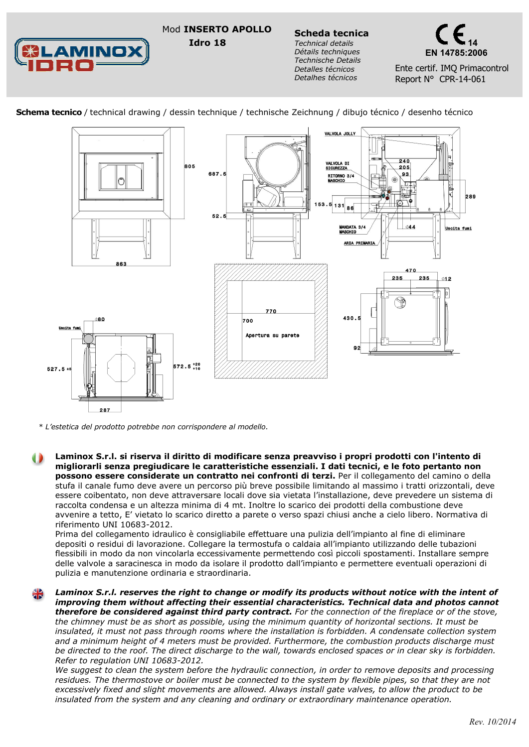Mod **INSERTO APOLLO Scheda tecnica Idro 18**



*Technical details Détails techniques Technische Details Detalles técnicos Detalhes técnicos*



Ente certif. IMQ Primacontrol Report N° CPR-14-061





*\* L'estetica del prodotto potrebbe non corrispondere al modello.*

**Laminox S.r.l. si riserva il diritto di modificare senza preavviso i propri prodotti con l'intento di migliorarli senza pregiudicare le caratteristiche essenziali. I dati tecnici, e le foto pertanto non possono essere considerate un contratto nei confronti di terzi.** Per il collegamento del camino o della stufa il canale fumo deve avere un percorso più breve possibile limitando al massimo i tratti orizzontali, deve essere coibentato, non deve attraversare locali dove sia vietata l'installazione, deve prevedere un sistema di raccolta condensa e un altezza minima di 4 mt. Inoltre lo scarico dei prodotti della combustione deve avvenire a tetto, E' vietato lo scarico diretto a parete o verso spazi chiusi anche a cielo libero. Normativa di riferimento UNI 10683-2012.

Prima del collegamento idraulico è consigliabile effettuare una pulizia dell'impianto al fine di eliminare depositi o residui di lavorazione. Collegare la termostufa o caldaia all'impianto utilizzando delle tubazioni flessibili in modo da non vincolarla eccessivamente permettendo così piccoli spostamenti. Installare sempre delle valvole a saracinesca in modo da isolare il prodotto dall'impianto e permettere eventuali operazioni di pulizia e manutenzione ordinaria e straordinaria.

*Laminox S.r.l. reserves the right to change or modify its products without notice with the intent of improving them without affecting their essential characteristics. Technical data and photos cannot therefore be considered against third party contract. For the connection of the fireplace or of the stove, the chimney must be as short as possible, using the minimum quantity of horizontal sections. It must be insulated, it must not pass through rooms where the installation is forbidden. A condensate collection system and a minimum height of 4 meters must be provided. Furthermore, the combustion products discharge must be directed to the roof. The direct discharge to the wall, towards enclosed spaces or in clear sky is forbidden. Refer to regulation UNI 10683-2012.* 

*We suggest to clean the system before the hydraulic connection, in order to remove deposits and processing residues. The thermostove or boiler must be connected to the system by flexible pipes, so that they are not excessively fixed and slight movements are allowed. Always install gate valves, to allow the product to be insulated from the system and any cleaning and ordinary or extraordinary maintenance operation.*